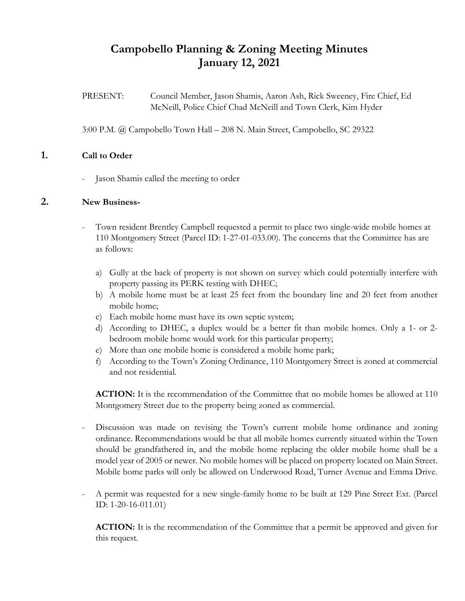# **Campobello Planning & Zoning Meeting Minutes January 12, 2021**

PRESENT: Council Member, Jason Shamis, Aaron Ash, Rick Sweeney, Fire Chief, Ed McNeill, Police Chief Chad McNeill and Town Clerk, Kim Hyder

3:00 P.M. @ Campobello Town Hall – 208 N. Main Street, Campobello, SC 29322

### **1. Call to Order**

- Jason Shamis called the meeting to order

### **2. New Business-**

- Town resident Brentley Campbell requested a permit to place two single-wide mobile homes at 110 Montgomery Street (Parcel ID: 1-27-01-033.00). The concerns that the Committee has are as follows:
	- a) Gully at the back of property is not shown on survey which could potentially interfere with property passing its PERK testing with DHEC;
	- b) A mobile home must be at least 25 feet from the boundary line and 20 feet from another mobile home;
	- c) Each mobile home must have its own septic system;
	- d) According to DHEC, a duplex would be a better fit than mobile homes. Only a 1- or 2 bedroom mobile home would work for this particular property;
	- e) More than one mobile home is considered a mobile home park;
	- f) According to the Town's Zoning Ordinance, 110 Montgomery Street is zoned at commercial and not residential.

**ACTION:** It is the recommendation of the Committee that no mobile homes be allowed at 110 Montgomery Street due to the property being zoned as commercial.

- Discussion was made on revising the Town's current mobile home ordinance and zoning ordinance. Recommendations would be that all mobile homes currently situated within the Town should be grandfathered in, and the mobile home replacing the older mobile home shall be a model year of 2005 or newer. No mobile homes will be placed on property located on Main Street. Mobile home parks will only be allowed on Underwood Road, Turner Avenue and Emma Drive.
- A permit was requested for a new single-family home to be built at 129 Pine Street Ext. (Parcel ID: 1-20-16-011.01)

**ACTION:** It is the recommendation of the Committee that a permit be approved and given for this request.